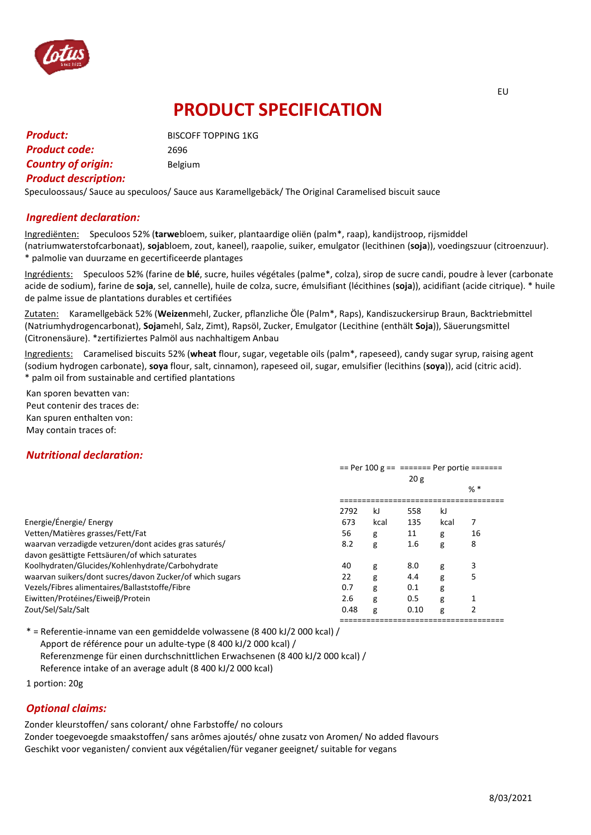

# **PRODUCT SPECIFICATION**

| <b>Product:</b>             | <b>BISCOFF TOPPING 1KG</b> |
|-----------------------------|----------------------------|
| <b>Product code:</b>        | 2696                       |
| <b>Country of origin:</b>   | Belgium                    |
| <b>Product description:</b> |                            |

Speculoossaus/ Sauce au speculoos/ Sauce aus Karamellgebäck/ The Original Caramelised biscuit sauce

## *Ingredient declaration:*

Ingrediënten: Speculoos 52% (**tarwe**bloem, suiker, plantaardige oliën (palm\*, raap), kandijstroop, rijsmiddel (natriumwaterstofcarbonaat), **soja**bloem, zout, kaneel), raapolie, suiker, emulgator (lecithinen (**soja**)), voedingszuur (citroenzuur). \* palmolie van duurzame en gecertificeerde plantages

Ingrédients: Speculoos 52% (farine de **blé**, sucre, huiles végétales (palme\*, colza), sirop de sucre candi, poudre à lever (carbonate acide de sodium), farine de **soja**, sel, cannelle), huile de colza, sucre, émulsifiant (lécithines (**soja**)), acidifiant (acide citrique). \* huile de palme issue de plantations durables et certifiées

Zutaten: Karamellgebäck 52% (**Weizen**mehl, Zucker, pflanzliche Öle (Palm\*, Raps), Kandiszuckersirup Braun, Backtriebmittel (Natriumhydrogencarbonat), **Soja**mehl, Salz, Zimt), Rapsöl, Zucker, Emulgator (Lecithine (enthält **Soja**)), Säuerungsmittel (Citronensäure). \*zertifiziertes Palmöl aus nachhaltigem Anbau

Ingredients: Caramelised biscuits 52% (**wheat** flour, sugar, vegetable oils (palm\*, rapeseed), candy sugar syrup, raising agent (sodium hydrogen carbonate), **soya** flour, salt, cinnamon), rapeseed oil, sugar, emulsifier (lecithins (**soya**)), acid (citric acid). \* palm oil from sustainable and certified plantations

Kan sporen bevatten van: Peut contenir des traces de: Kan spuren enthalten von: May contain traces of:

## *Nutritional declaration:*

|                                                          | == Per 100 $g =$ == ====== Per portie ======= |      |      |      |       |
|----------------------------------------------------------|-----------------------------------------------|------|------|------|-------|
|                                                          | 20g                                           |      |      |      |       |
|                                                          |                                               |      |      |      | $%$ * |
|                                                          | 2792                                          | kJ   | 558  | kJ   |       |
| Energie/Énergie/ Energy                                  | 673                                           | kcal | 135  | kcal | 7     |
| Vetten/Matières grasses/Fett/Fat                         | 56                                            | g    | 11   | g    | 16    |
| waarvan verzadigde vetzuren/dont acides gras saturés/    | 8.2                                           | g    | 1.6  | g    | 8     |
| davon gesättigte Fettsäuren/of which saturates           |                                               |      |      |      |       |
| Koolhydraten/Glucides/Kohlenhydrate/Carbohydrate         | 40                                            | g    | 8.0  | g    | 3     |
| waarvan suikers/dont sucres/davon Zucker/of which sugars | 22                                            | g    | 4.4  | g    | 5     |
| Vezels/Fibres alimentaires/Ballaststoffe/Fibre           | 0.7                                           | g    | 0.1  | g    |       |
| Eiwitten/Protéines/Eiweiβ/Protein                        | 2.6                                           | g    | 0.5  | g    |       |
| Zout/Sel/Salz/Salt                                       | 0.48                                          | g    | 0.10 | g    |       |
|                                                          |                                               |      |      |      |       |

\* = Referentie-inname van een gemiddelde volwassene (8 400 kJ/2 000 kcal) / Apport de référence pour un adulte-type (8 400 kJ/2 000 kcal) / Referenzmenge für einen durchschnittlichen Erwachsenen (8 400 kJ/2 000 kcal) / Reference intake of an average adult (8 400 kJ/2 000 kcal)

1 portion: 20g

#### *Optional claims:*

Zonder kleurstoffen/ sans colorant/ ohne Farbstoffe/ no colours Zonder toegevoegde smaakstoffen/ sans arômes ajoutés/ ohne zusatz von Aromen/ No added flavours Geschikt voor veganisten/ convient aux végétalien/für veganer geeignet/ suitable for vegans

EU